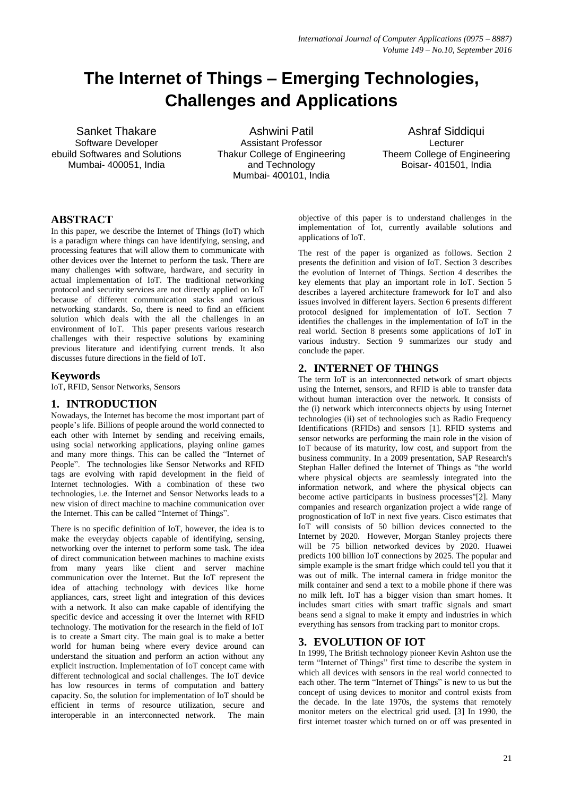# **The Internet of Things – Emerging Technologies, Challenges and Applications**

Sanket Thakare Software Developer ebuild Softwares and Solutions Mumbai- 400051, India

Ashwini Patil Assistant Professor Thakur College of Engineering and Technology Mumbai- 400101, India

Ashraf Siddiqui Lecturer Theem College of Engineering Boisar- 401501, India

# **ABSTRACT**

In this paper, we describe the Internet of Things (IoT) which is a paradigm where things can have identifying, sensing, and processing features that will allow them to communicate with other devices over the Internet to perform the task. There are many challenges with software, hardware, and security in actual implementation of IoT. The traditional networking protocol and security services are not directly applied on IoT because of different communication stacks and various networking standards. So, there is need to find an efficient solution which deals with the all the challenges in an environment of IoT. This paper presents various research challenges with their respective solutions by examining previous literature and identifying current trends. It also discusses future directions in the field of IoT.

# **Keywords**

IoT, RFID, Sensor Networks, Sensors

# **1. INTRODUCTION**

Nowadays, the Internet has become the most important part of people's life. Billions of people around the world connected to each other with Internet by sending and receiving emails, using social networking applications, playing online games and many more things. This can be called the "Internet of People". The technologies like Sensor Networks and RFID tags are evolving with rapid development in the field of Internet technologies. With a combination of these two technologies, i.e. the Internet and Sensor Networks leads to a new vision of direct machine to machine communication over the Internet. This can be called "Internet of Things".

There is no specific definition of IoT, however, the idea is to make the everyday objects capable of identifying, sensing, networking over the internet to perform some task. The idea of direct communication between machines to machine exists from many years like client and server machine communication over the Internet. But the IoT represent the idea of attaching technology with devices like home appliances, cars, street light and integration of this devices with a network. It also can make capable of identifying the specific device and accessing it over the Internet with RFID technology. The motivation for the research in the field of IoT is to create a Smart city. The main goal is to make a better world for human being where every device around can understand the situation and perform an action without any explicit instruction. Implementation of IoT concept came with different technological and social challenges. The IoT device has low resources in terms of computation and battery capacity. So, the solution for implementation of IoT should be efficient in terms of resource utilization, secure and interoperable in an interconnected network. The main

objective of this paper is to understand challenges in the implementation of Iot, currently available solutions and applications of IoT.

The rest of the paper is organized as follows. Section 2 presents the definition and vision of IoT. Section 3 describes the evolution of Internet of Things. Section 4 describes the key elements that play an important role in IoT. Section 5 describes a layered architecture framework for IoT and also issues involved in different layers. Section 6 presents different protocol designed for implementation of IoT. Section 7 identifies the challenges in the implementation of IoT in the real world. Section 8 presents some applications of IoT in various industry. Section 9 summarizes our study and conclude the paper.

# **2. INTERNET OF THINGS**

The term IoT is an interconnected network of smart objects using the Internet, sensors, and RFID is able to transfer data without human interaction over the network. It consists of the (i) network which interconnects objects by using Internet technologies (ii) set of technologies such as Radio Frequency Identifications (RFIDs) and sensors [1]. RFID systems and sensor networks are performing the main role in the vision of IoT because of its maturity, low cost, and support from the business community. In a 2009 presentation, SAP Research's Stephan Haller defined the Internet of Things as "the world where physical objects are seamlessly integrated into the information network, and where the physical objects can become active participants in business processes"[2]. Many companies and research organization project a wide range of prognostication of IoT in next five years. Cisco estimates that IoT will consists of 50 billion devices connected to the Internet by 2020. However, Morgan Stanley projects there will be 75 billion networked devices by 2020. Huawei predicts 100 billion IoT connections by 2025. The popular and simple example is [the smart fridge](https://www.theguardian.com/lifeandstyle/2012/jan/11/homes-fooddrinks) which could tell you that it was out of milk. The internal camera in fridge monitor the milk container and send a text to a mobile phone if there was no milk left. IoT has a bigger vision than smart homes. It includes smart cities with smart traffic signals and smart beans send a signal to make it empty and industries in which everything has sensors from tracking part to monitor crops.

# **3. EVOLUTION OF IOT**

In 1999, The British technology pioneer Kevin Ashton use the term "Internet of Things" first time to describe the system in which all devices with sensors in the real world connected to each other. The term "Internet of Things" is new to us but the concept of using devices to monitor and control exists from the decade. In the late 1970s, the systems that remotely monitor meters on the electrical grid used. [3] In 1990, the first internet toaster which turned on or off was presented in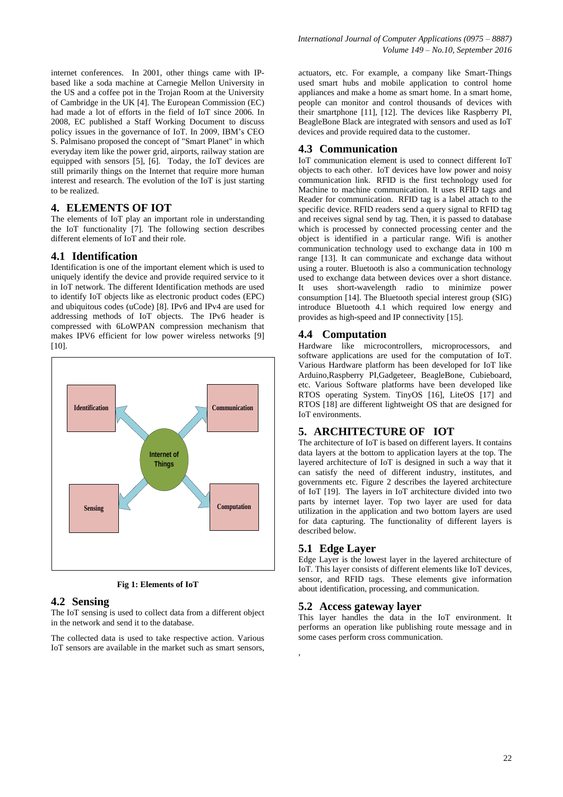internet conferences. In 2001, other things came with IPbased like a soda machine at Carnegie Mellon University in the US and a coffee pot in the Trojan Room at the University of Cambridge in the UK [4]. The European Commission (EC) had made a lot of efforts in the field of IoT since 2006. In 2008, EC published a Staff Working Document to discuss policy issues in the governance of IoT. In 2009, IBM's CEO S. Palmisano proposed the concept of "Smart Planet" in which everyday item like the power grid, airports, railway station are equipped with sensors [5], [6]. Today, the IoT devices are still primarily things on the Internet that require more human interest and research. The evolution of the IoT is just starting to be realized.

## **4. ELEMENTS OF IOT**

The elements of IoT play an important role in understanding the IoT functionality [7]. The following section describes different elements of IoT and their role.

#### **4.1 Identification**

Identification is one of the important element which is used to uniquely identify the device and provide required service to it in IoT network. The different Identification methods are used to identify IoT objects like as electronic product codes (EPC) and ubiquitous codes (uCode) [8]. IPv6 and IPv4 are used for addressing methods of IoT objects. The IPv6 header is compressed with 6LoWPAN compression mechanism that makes IPV6 efficient for low power wireless networks [9] [10].



**Fig 1: Elements of IoT**

#### **4.2 Sensing**

The IoT sensing is used to collect data from a different object in the network and send it to the database.

The collected data is used to take respective action. Various IoT sensors are available in the market such as smart sensors,

actuators, etc. For example, a company like Smart-Things used smart hubs and mobile application to control home appliances and make a home as smart home. In a smart home, people can monitor and control thousands of devices with their smartphone [11], [12]. The devices like Raspberry PI, BeagleBone Black are integrated with sensors and used as IoT devices and provide required data to the customer.

#### **4.3 Communication**

IoT communication element is used to connect different IoT objects to each other. IoT devices have low power and noisy communication link. RFID is the first technology used for Machine to machine communication. It uses RFID tags and Reader for communication. RFID tag is a label attach to the specific device. RFID readers send a query signal to RFID tag and receives signal send by tag. Then, it is passed to database which is processed by connected processing center and the object is identified in a particular range. Wifi is another communication technology used to exchange data in 100 m range [13]. It can communicate and exchange data without using a router. Bluetooth is also a communication technology used to exchange data between devices over a short distance. It uses short-wavelength radio to minimize power consumption  $[14]$ . The Bluetooth special interest group  $(SIG)$ introduce Bluetooth 4.1 which required low energy and provides as high-speed and IP connectivity [15].

#### **4.4 Computation**

Hardware like microcontrollers, microprocessors, and software applications are used for the computation of IoT. Various Hardware platform has been developed for IoT like Arduino,Raspberry PI,Gadgeteer, BeagleBone, Cubieboard, etc. Various Software platforms have been developed like RTOS operating System. TinyOS [16], LiteOS [17] and RTOS [18] are different lightweight OS that are designed for IoT environments.

### **5. ARCHITECTURE OF IOT**

The architecture of IoT is based on different layers. It contains data layers at the bottom to application layers at the top. The layered architecture of IoT is designed in such a way that it can satisfy the need of different industry, institutes, and governments etc. Figure 2 describes the layered architecture of IoT [19]. The layers in IoT architecture divided into two parts by internet layer. Top two layer are used for data utilization in the application and two bottom layers are used for data capturing. The functionality of different layers is described below.

#### **5.1 Edge Layer**

,

Edge Layer is the lowest layer in the layered architecture of IoT. This layer consists of different elements like IoT devices, sensor, and RFID tags. These elements give information about identification, processing, and communication.

#### **5.2 Access gateway layer**

This layer handles the data in the IoT environment. It performs an operation like publishing route message and in some cases perform cross communication.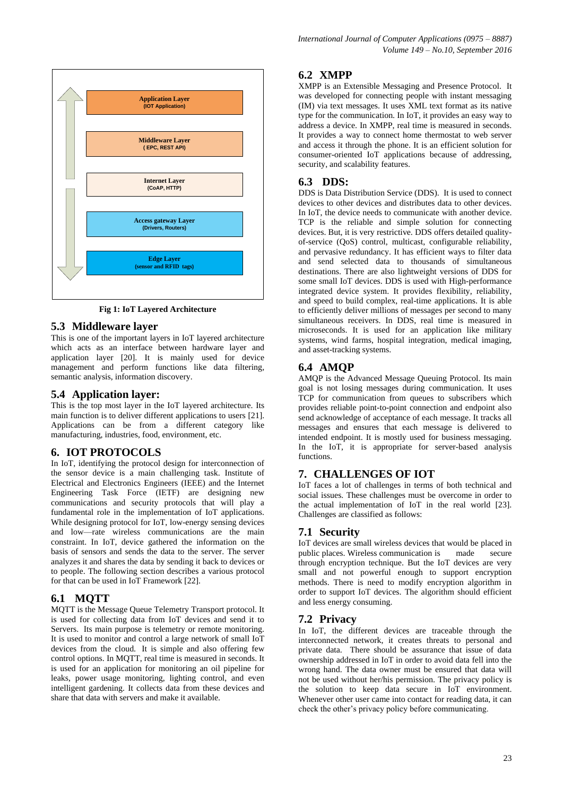

**Fig 1: IoT Layered Architecture**

#### **5.3 Middleware layer**

This is one of the important layers in IoT layered architecture which acts as an interface between hardware layer and application layer [20]. It is mainly used for device management and perform functions like data filtering, semantic analysis, information discovery.

### **5.4 Application layer:**

This is the top most layer in the IoT layered architecture. Its main function is to deliver different applications to users [21]. Applications can be from a different category like manufacturing, industries, food, environment, etc.

### **6. IOT PROTOCOLS**

In IoT, identifying the protocol design for interconnection of the sensor device is a main challenging task. Institute of Electrical and Electronics Engineers (IEEE) and the Internet Engineering Task Force (IETF) are designing new communications and security protocols that will play a fundamental role in the implementation of IoT applications. While designing protocol for IoT, low-energy sensing devices and low—rate wireless communications are the main constraint. In IoT, device gathered the information on the basis of sensors and sends the data to the server. The server analyzes it and shares the data by sending it back to devices or to people. The following section describes a various protocol for that can be used in IoT Framework [22].

## **6.1 MQTT**

MQTT is the Message Queue Telemetry Transport protocol. It is used for collecting data from IoT devices and send it to Servers. Its main purpose is telemetry or remote monitoring. It is used to monitor and control a large network of small IoT devices from the cloud. It is simple and also offering few control options. In MQTT, real time is measured in seconds. It is used for an application for monitoring an oil pipeline for leaks, power usage monitoring, lighting control, and even intelligent gardening. It collects data from these devices and share that data with servers and make it available.

## **6.2 XMPP**

XMPP is an Extensible Messaging and Presence Protocol. It was developed for connecting people with instant messaging (IM) via text messages. It uses XML text format as its native type for the communication. In IoT, it provides an easy way to address a device. In XMPP, real time is measured in seconds. It provides a way to connect home thermostat to web server and access it through the phone. It is an efficient solution for consumer-oriented IoT applications because of addressing, security, and scalability features.

### **6.3 DDS:**

DDS is Data Distribution Service (DDS). It is used to connect devices to other devices and distributes data to other devices. In IoT, the device needs to communicate with another device. TCP is the reliable and simple solution for connecting devices. But, it is very restrictive. DDS offers detailed qualityof-service (QoS) control, multicast, configurable reliability, and pervasive redundancy. It has efficient ways to filter data and send selected data to thousands of simultaneous destinations. There are also lightweight versions of DDS for some small IoT devices. DDS is used with High-performance integrated device system. It provides flexibility, reliability, and speed to build complex, real-time applications. It is able to efficiently deliver millions of messages per second to many simultaneous receivers. In DDS, real time is measured in microseconds. It is used for an application like military systems, wind farms, hospital integration, medical imaging, and asset-tracking systems.

# **6.4 AMQP**

AMQP is the Advanced Message Queuing Protocol. Its main goal is not losing messages during communication. It uses TCP for communication from queues to subscribers which provides reliable point-to-point connection and endpoint also send acknowledge of acceptance of each message. It tracks all messages and ensures that each message is delivered to intended endpoint. It is mostly used for business messaging. In the IoT, it is appropriate for server-based analysis functions.

#### **7. CHALLENGES OF IOT**

IoT faces a lot of challenges in terms of both technical and social issues. These challenges must be overcome in order to the actual implementation of IoT in the real world [23]. Challenges are classified as follows:

#### **7.1 Security**

IoT devices are small wireless devices that would be placed in public places. Wireless communication is made secure through encryption technique. But the IoT devices are very small and not powerful enough to support encryption methods. There is need to modify encryption algorithm in order to support IoT devices. The algorithm should efficient and less energy consuming.

#### **7.2 Privacy**

In IoT, the different devices are traceable through the interconnected network, it creates threats to personal and private data. There should be assurance that issue of data ownership addressed in IoT in order to avoid data fell into the wrong hand. The data owner must be ensured that data will not be used without her/his permission. The privacy policy is the solution to keep data secure in IoT environment. Whenever other user came into contact for reading data, it can check the other's privacy policy before communicating.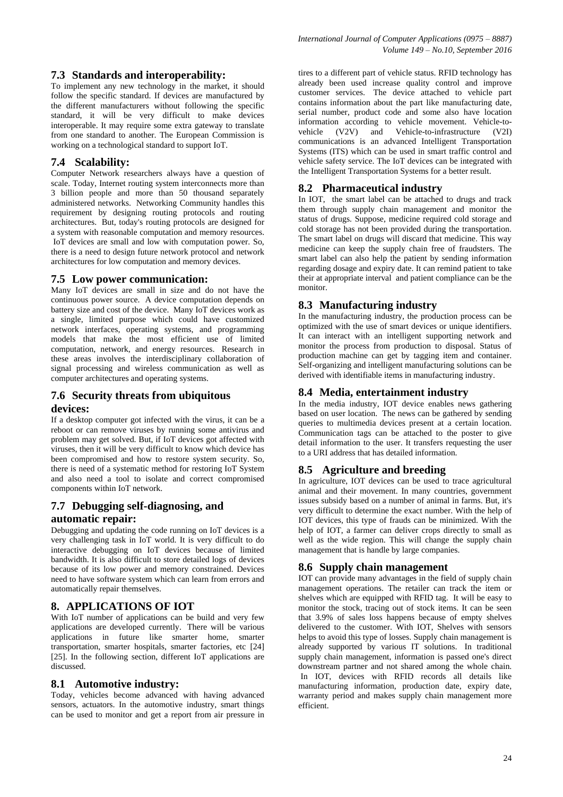To implement any new technology in the market, it should follow the specific standard. If devices are manufactured by the different manufacturers without following the specific standard, it will be very difficult to make devices interoperable. It may require some extra gateway to translate from one standard to another. The European Commission is working on a technological standard to support IoT.

## **7.4 Scalability:**

Computer Network researchers always have a question of scale. Today, Internet routing system interconnects more than 3 billion people and more than 50 thousand separately administered networks. Networking Community handles this requirement by designing routing protocols and routing architectures. But, today's routing protocols are designed for a system with reasonable computation and memory resources. IoT devices are small and low with computation power. So, there is a need to design future network protocol and network architectures for low computation and memory devices.

## **7.5 Low power communication:**

Many IoT devices are small in size and do not have the continuous power source. A device computation depends on battery size and cost of the device. Many IoT devices work as a single, limited purpose which could have customized network interfaces, operating systems, and programming models that make the most efficient use of limited computation, network, and energy resources. Research in these areas involves the interdisciplinary collaboration of signal processing and wireless communication as well as computer architectures and operating systems.

# **7.6 Security threats from ubiquitous devices:**

If a desktop computer got infected with the virus, it can be a reboot or can remove viruses by running some antivirus and problem may get solved. But, if IoT devices got affected with viruses, then it will be very difficult to know which device has been compromised and how to restore system security. So, there is need of a systematic method for restoring IoT System and also need a tool to isolate and correct compromised components within IoT network.

# **7.7 Debugging self-diagnosing, and**

## **automatic repair:**

Debugging and updating the code running on IoT devices is a very challenging task in IoT world. It is very difficult to do interactive debugging on IoT devices because of limited bandwidth. It is also difficult to store detailed logs of devices because of its low power and memory constrained. Devices need to have software system which can learn from errors and automatically repair themselves.

# **8. APPLICATIONS OF IOT**

With IoT number of applications can be build and very few applications are developed currently. There will be various applications in future like smarter home, smarter transportation, smarter hospitals, smarter factories, etc [24] [25]. In the following section, different IoT applications are discussed.

## **8.1 Automotive industry:**

Today, vehicles become advanced with having advanced sensors, actuators. In the automotive industry, smart things can be used to monitor and get a report from air pressure in tires to a different part of vehicle status. RFID technology has already been used increase quality control and improve customer services. The device attached to vehicle part contains information about the part like manufacturing date, serial number, product code and some also have location information according to vehicle movement. Vehicle-tovehicle (V2V) and Vehicle-to-infrastructure (V2I) communications is an advanced Intelligent Transportation Systems (ITS) which can be used in smart traffic control and vehicle safety service. The IoT devices can be integrated with the Intelligent Transportation Systems for a better result.

# **8.2 Pharmaceutical industry**

In IOT, the smart label can be attached to drugs and track them through supply chain management and monitor the status of drugs. Suppose, medicine required cold storage and cold storage has not been provided during the transportation. The smart label on drugs will discard that medicine. This way medicine can keep the supply chain free of fraudsters. The smart label can also help the patient by sending information regarding dosage and expiry date. It can remind patient to take their at appropriate interval and patient compliance can be the monitor.

# **8.3 Manufacturing industry**

In the manufacturing industry, the production process can be optimized with the use of smart devices or unique identifiers. It can interact with an intelligent supporting network and monitor the process from production to disposal. Status of production machine can get by tagging item and container. Self-organizing and intelligent manufacturing solutions can be derived with identifiable items in manufacturing industry.

# **8.4 Media, entertainment industry**

In the media industry, IOT device enables news gathering based on user location. The news can be gathered by sending queries to multimedia devices present at a certain location. Communication tags can be attached to the poster to give detail information to the user. It transfers requesting the user to a URI address that has detailed information.

# **8.5 Agriculture and breeding**

In agriculture, IOT devices can be used to trace agricultural animal and their movement. In many countries, government issues subsidy based on a number of animal in farms. But, it's very difficult to determine the exact number. With the help of IOT devices, this type of frauds can be minimized. With the help of IOT, a farmer can deliver crops directly to small as well as the wide region. This will change the supply chain management that is handle by large companies.

# **8.6 Supply chain management**

IOT can provide many advantages in the field of supply chain management operations. The retailer can track the item or shelves which are equipped with RFID tag. It will be easy to monitor the stock, tracing out of stock items. It can be seen that 3.9% of sales loss happens because of empty shelves delivered to the customer. With IOT, Shelves with sensors helps to avoid this type of losses. Supply chain management is already supported by various IT solutions. In traditional supply chain management, information is passed one's direct downstream partner and not shared among the whole chain. In IOT, devices with RFID records all details like manufacturing information, production date, expiry date, warranty period and makes supply chain management more efficient.